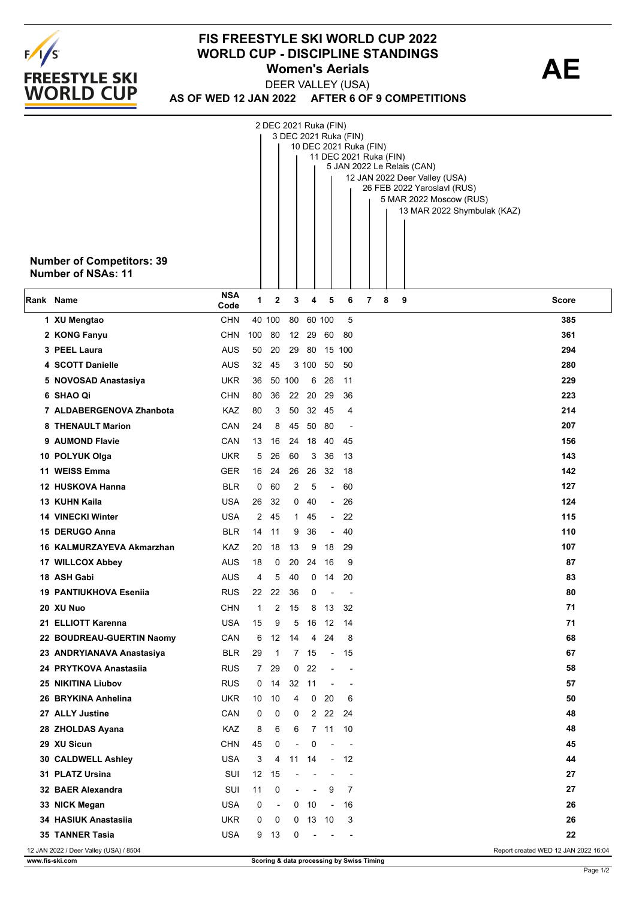

## **FIS FREESTYLE SKI WORLD CUP 2022 WORLD CUP - DISCIPLINE STANDINGS<br>Women's Aerials <b>AE Women's Aerials**

**AS OF WED 12 JAN 2022 AFTER 6 OF 9 COMPETITIONS** DEER VALLEY (USA)

|                                                                                | <b>Number of Competitors: 39</b><br>Number of NSAs: 11 |                    |                 | 2 DEC 2021 Ruka (FIN)    |                          |                          |                          | 3 DEC 2021 Ruka (FIN)    | 10 DEC 2021 Ruka (FIN)<br>11 DEC 2021 Ruka (FIN)<br>5 JAN 2022 Le Relais (CAN)<br>12 JAN 2022 Deer Valley (USA)<br>26 FEB 2022 Yaroslavl (RUS)<br>5 MAR 2022 Moscow (RUS)<br>13 MAR 2022 Shymbulak (KAZ) |  |
|--------------------------------------------------------------------------------|--------------------------------------------------------|--------------------|-----------------|--------------------------|--------------------------|--------------------------|--------------------------|--------------------------|----------------------------------------------------------------------------------------------------------------------------------------------------------------------------------------------------------|--|
| Rank Name                                                                      |                                                        | <b>NSA</b><br>Code | 1               | 2                        | 3                        | 4                        | 5                        | 6                        | 7<br>8<br>9<br><b>Score</b>                                                                                                                                                                              |  |
|                                                                                | 1 XU Mengtao                                           | <b>CHN</b>         |                 | 40 100                   |                          | 80 60 100                |                          | 5                        | 385                                                                                                                                                                                                      |  |
|                                                                                | 2 KONG Fanyu                                           | <b>CHN</b>         | 100             | 80                       |                          | 12 29                    | 60                       | -80                      | 361                                                                                                                                                                                                      |  |
|                                                                                | 3 PEEL Laura                                           | AUS                | 50              | 20                       |                          |                          | 29 80 15 100             |                          | 294                                                                                                                                                                                                      |  |
|                                                                                | 4 SCOTT Danielle                                       | <b>AUS</b>         | 32              | 45                       |                          | 3 100                    | 50                       | 50                       | 280                                                                                                                                                                                                      |  |
|                                                                                | 5 NOVOSAD Anastasiya                                   | <b>UKR</b>         | 36              |                          | 50 100                   | 6                        | 26                       | 11                       | 229                                                                                                                                                                                                      |  |
|                                                                                | 6 SHAO Qi                                              | <b>CHN</b>         | 80              | 36                       |                          | 22 20                    | 29                       | 36                       | 223                                                                                                                                                                                                      |  |
|                                                                                | 7 ALDABERGENOVA Zhanbota                               | KAZ                | 80              | 3                        | 50                       |                          | 32 45                    | 4                        | 214                                                                                                                                                                                                      |  |
|                                                                                | 8 THENAULT Marion                                      | CAN                | 24              | 8                        | 45                       | 50                       | 80                       | $\overline{\phantom{a}}$ | 207                                                                                                                                                                                                      |  |
|                                                                                | 9 AUMOND Flavie                                        | CAN                | 13              | 16                       |                          | 24 18                    | 40                       | 45                       | 156                                                                                                                                                                                                      |  |
|                                                                                | 10 POLYUK Olga                                         | <b>UKR</b>         | 5               | 26                       | 60                       | 3                        | 36                       | 13                       | 143                                                                                                                                                                                                      |  |
|                                                                                | 11 WEISS Emma                                          | <b>GER</b>         | 16              | 24                       | 26                       |                          | 26 32                    | -18                      | 142                                                                                                                                                                                                      |  |
|                                                                                | 12 HUSKOVA Hanna                                       | <b>BLR</b>         | 0               | 60                       | 2                        | 5                        | $\overline{\phantom{a}}$ | 60                       | 127                                                                                                                                                                                                      |  |
|                                                                                | 13 KUHN Kaila                                          | USA                | 26              | 32                       |                          | 040                      | $\overline{\phantom{a}}$ | 26                       | 124                                                                                                                                                                                                      |  |
|                                                                                | <b>14 VINECKI Winter</b>                               | USA                | 2               | 45                       |                          | 1 45                     | $\overline{\phantom{a}}$ | 22                       | 115                                                                                                                                                                                                      |  |
|                                                                                | 15 DERUGO Anna                                         | <b>BLR</b>         | 14              | 11                       | 9                        | 36                       | $\overline{\phantom{a}}$ | 40                       | 110                                                                                                                                                                                                      |  |
|                                                                                | 16 KALMURZAYEVA Akmarzhan                              | KAZ                | 20              | 18                       | 13                       | 9                        | 18                       | 29                       | 107                                                                                                                                                                                                      |  |
|                                                                                | 17 WILLCOX Abbey                                       | AUS                | 18              | 0                        | 20                       | 24                       | -16                      | 9                        | 87<br>83                                                                                                                                                                                                 |  |
|                                                                                | 18 ASH Gabi<br><b>19 PANTIUKHOVA Esenija</b>           | AUS<br><b>RUS</b>  | 4<br>22         | 5<br>22                  | 40<br>36                 | 0<br>0                   | 14                       | 20                       | 80                                                                                                                                                                                                       |  |
|                                                                                | 20 XU Nuo                                              | <b>CHN</b>         | 1               | $\overline{2}$           | 15                       |                          | 8 13                     | 32                       | 71                                                                                                                                                                                                       |  |
|                                                                                | 21 ELLIOTT Karenna                                     | <b>USA</b>         | 15              | 9                        | 5                        |                          | 16 12                    | 14                       | 71                                                                                                                                                                                                       |  |
|                                                                                | 22 BOUDREAU-GUERTIN Naomy                              | CAN                | 6               | 12                       | 14                       | 4                        | 24                       | 8                        | 68                                                                                                                                                                                                       |  |
|                                                                                | 23 ANDRYIANAVA Anastasiya                              | <b>BLR</b>         | 29              | 1                        |                          | 7 15                     | $\sim$ $-$               | 15                       | 67                                                                                                                                                                                                       |  |
|                                                                                | 24 PRYTKOVA Anastasiia                                 | <b>RUS</b>         | $7^{\circ}$     | 29                       | 0                        | 22                       | $\blacksquare$           | $\blacksquare$           | 58                                                                                                                                                                                                       |  |
|                                                                                | 25 NIKITINA Liubov                                     | <b>RUS</b>         | 0               | 14                       |                          | 32 11                    | $\overline{\phantom{a}}$ | $\overline{\phantom{a}}$ | 57                                                                                                                                                                                                       |  |
|                                                                                | 26 BRYKINA Anhelina                                    | <b>UKR</b>         | 10              | 10                       | 4                        | $\mathbf{0}$             | 20                       | 6                        | 50                                                                                                                                                                                                       |  |
|                                                                                | 27 ALLY Justine                                        | CAN                | 0               | 0                        | 0                        |                          | 2 2 22 24                |                          | 48                                                                                                                                                                                                       |  |
|                                                                                | 28 ZHOLDAS Ayana                                       | KAZ                | 8               | 6                        | 6                        |                          | 7 11 10                  |                          | 48                                                                                                                                                                                                       |  |
|                                                                                | 29 XU Sicun                                            | <b>CHN</b>         | 45              | 0                        | $\overline{\phantom{a}}$ | 0                        | $\blacksquare$           | $\sim$                   | 45                                                                                                                                                                                                       |  |
|                                                                                | 30 CALDWELL Ashley                                     | <b>USA</b>         | 3               | 4                        |                          | 11 14                    |                          | $-12$                    | 44                                                                                                                                                                                                       |  |
|                                                                                | 31 PLATZ Ursina                                        | SUI                | 12 <sup>2</sup> | 15                       |                          |                          | $\blacksquare$           | $\blacksquare$           | 27                                                                                                                                                                                                       |  |
|                                                                                | 32 BAER Alexandra                                      | SUI                | 11              | 0                        | $\overline{\phantom{a}}$ | $\sim$                   | 9                        | 7                        | 27                                                                                                                                                                                                       |  |
|                                                                                | 33 NICK Megan                                          | <b>USA</b>         | 0               | $\overline{\phantom{a}}$ |                          | $0$ 10                   | $\overline{\phantom{a}}$ | 16                       | 26                                                                                                                                                                                                       |  |
|                                                                                | 34 HASIUK Anastasija                                   | <b>UKR</b>         | 0               | 0                        |                          | $0$ 13 10                |                          | 3                        | 26                                                                                                                                                                                                       |  |
|                                                                                | <b>35 TANNER Tasia</b>                                 | <b>USA</b>         | 9               | 13                       | 0                        | $\overline{\phantom{a}}$ |                          |                          | 22                                                                                                                                                                                                       |  |
| 12 JAN 2022 / Deer Valley (USA) / 8504<br>Report created WED 12 JAN 2022 16:04 |                                                        |                    |                 |                          |                          |                          |                          |                          |                                                                                                                                                                                                          |  |